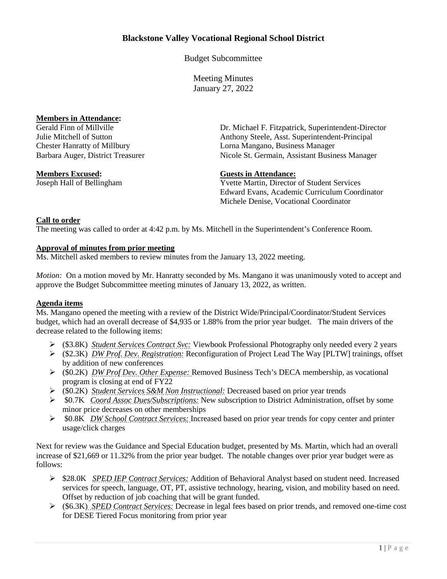# **Blackstone Valley Vocational Regional School District**

Budget Subcommittee

Meeting Minutes January 27, 2022

# **Members in Attendance:**<br>Gerald Finn of Millville

**Members Excused: Guests in Attendance:**

Dr. Michael F. Fitzpatrick, Superintendent-Director Julie Mitchell of Sutton Anthony Steele, Asst. Superintendent-Principal Chester Hanratty of Millbury Lorna Mangano, Business Manager Barbara Auger, District Treasurer Nicole St. Germain, Assistant Business Manager

Joseph Hall of Bellingham Yvette Martin, Director of Student Services Edward Evans, Academic Curriculum Coordinator Michele Denise, Vocational Coordinator

## **Call to order**

The meeting was called to order at 4:42 p.m. by Ms. Mitchell in the Superintendent's Conference Room.

#### **Approval of minutes from prior meeting**

Ms. Mitchell asked members to review minutes from the January 13, 2022 meeting.

*Motion:* On a motion moved by Mr. Hanratty seconded by Ms. Mangano it was unanimously voted to accept and approve the Budget Subcommittee meeting minutes of January 13, 2022, as written.

### **Agenda items**

Ms. Mangano opened the meeting with a review of the District Wide/Principal/Coordinator/Student Services budget, which had an overall decrease of \$4,935 or 1.88% from the prior year budget. The main drivers of the decrease related to the following items:

- (\$3.8K) *Student Services Contract Svc:* Viewbook Professional Photography only needed every 2 years
- (\$2.3K) *DW Prof. Dev. Registration:* Reconfiguration of Project Lead The Way [PLTW] trainings, offset by addition of new conferences
- (\$0.2K) *DW Prof Dev. Other Expense:* Removed Business Tech's DECA membership, as vocational program is closing at end of FY22
- (\$0.2K) *Student Services S&M Non Instructional:* Decreased based on prior year trends
- \$0.7K *Coord Assoc Dues/Subscriptions:* New subscription to District Administration, offset by some minor price decreases on other memberships
- \$0.8K *DW School Contract Services:* Increased based on prior year trends for copy center and printer usage/click charges

Next for review was the Guidance and Special Education budget, presented by Ms. Martin, which had an overall increase of \$21,669 or 11.32% from the prior year budget. The notable changes over prior year budget were as follows:

- \$28.0K *SPED IEP Contract Services:* Addition of Behavioral Analyst based on student need. Increased services for speech, language, OT, PT, assistive technology, hearing, vision, and mobility based on need. Offset by reduction of job coaching that will be grant funded.
- (\$6.3K) *SPED Contract Services:* Decrease in legal fees based on prior trends, and removed one-time cost for DESE Tiered Focus monitoring from prior year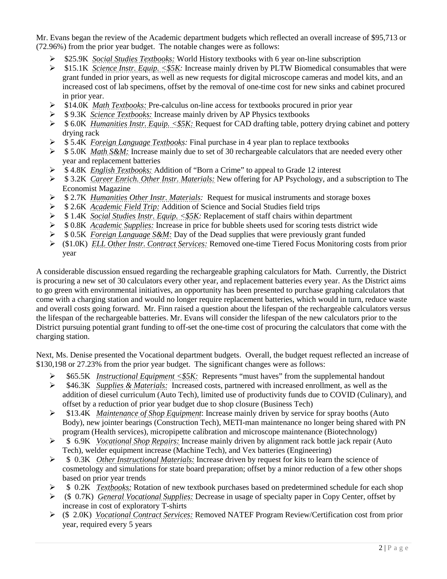Mr. Evans began the review of the Academic department budgets which reflected an overall increase of \$95,713 or (72.96%) from the prior year budget. The notable changes were as follows:

- \$25.9K *Social Studies Textbooks:* World History textbooks with 6 year on-line subscription
- \$15.1K *Science Instr. Equip. <\$5K:* Increase mainly driven by PLTW Biomedical consumables that were grant funded in prior years, as well as new requests for digital microscope cameras and model kits, and an increased cost of lab specimens, offset by the removal of one-time cost for new sinks and cabinet procured in prior year.
- \$14.0K *Math Textbooks:* Pre-calculus on-line access for textbooks procured in prior year
- \$ 9.3K *Science Textbooks:* Increase mainly driven by AP Physics textbooks
- \$ 6.0K *Humanities Instr. Equip. <\$5K:* Request for CAD drafting table, pottery drying cabinet and pottery drying rack
- \$ 5.4K *Foreign Language Textbooks:* Final purchase in 4 year plan to replace textbooks
- $\triangleright$  \$5.0K *Math S&M:* Increase mainly due to set of 30 rechargeable calculators that are needed every other year and replacement batteries
- \$ 4.8K *English Textbooks:* Addition of "Born a Crime" to appeal to Grade 12 interest
- \$ 3.2K *Career Enrich. Other Instr. Materials:* New offering for AP Psychology, and a subscription to The Economist Magazine
- \$ 2.7K *Humanities Other Instr. Materials:* Request for musical instruments and storage boxes
- \$ 2.6K *Academic Field Trip:* Addition of Science and Social Studies field trips
- \$ 1.4K *Social Studies Instr. Equip. <\$5K:* Replacement of staff chairs within department
- \$ 0.8K *Academic Supplies:* Increase in price for bubble sheets used for scoring tests district wide
- \$ 0.5K *Foreign Language S&M:* Day of the Dead supplies that were previously grant funded
- (\$1.0K) *ELL Other Instr. Contract Services:* Removed one-time Tiered Focus Monitoring costs from prior year

A considerable discussion ensued regarding the rechargeable graphing calculators for Math. Currently, the District is procuring a new set of 30 calculators every other year, and replacement batteries every year. As the District aims to go green with environmental initiatives, an opportunity has been presented to purchase graphing calculators that come with a charging station and would no longer require replacement batteries, which would in turn, reduce waste and overall costs going forward. Mr. Finn raised a question about the lifespan of the rechargeable calculators versus the lifespan of the rechargeable batteries. Mr. Evans will consider the lifespan of the new calculators prior to the District pursuing potential grant funding to off-set the one-time cost of procuring the calculators that come with the charging station.

Next, Ms. Denise presented the Vocational department budgets. Overall, the budget request reflected an increase of \$130,198 or 27.23% from the prior year budget. The significant changes were as follows:

- \$65.5K *Instructional Equipment <\$5K:* Represents "must haves" from the supplemental handout
- \$46.3K *Supplies & Materials:* Increased costs, partnered with increased enrollment, as well as the addition of diesel curriculum (Auto Tech), limited use of productivity funds due to COVID (Culinary), and offset by a reduction of prior year budget due to shop closure (Business Tech)
- \$13.4K *Maintenance of Shop Equipment*: Increase mainly driven by service for spray booths (Auto Body), new jointer bearings (Construction Tech), METI-man maintenance no longer being shared with PN program (Health services), micropipette calibration and microscope maintenance (Biotechnology)
- \$ 6.9K *Vocational Shop Repairs:* Increase mainly driven by alignment rack bottle jack repair (Auto Tech), welder equipment increase (Machine Tech), and Vex batteries (Engineering)
- \$ 0.3K *Other Instructional Materials:* Increase driven by request for kits to learn the science of cosmetology and simulations for state board preparation; offset by a minor reduction of a few other shops based on prior year trends
- $\geq$  \$ 0.2K *Textbooks:* Rotation of new textbook purchases based on predetermined schedule for each shop
- (\$ 0.7K) *General Vocational Supplies:* Decrease in usage of specialty paper in Copy Center, offset by increase in cost of exploratory T-shirts
- (\$ 2.0K) *Vocational Contract Services:* Removed NATEF Program Review/Certification cost from prior year, required every 5 years